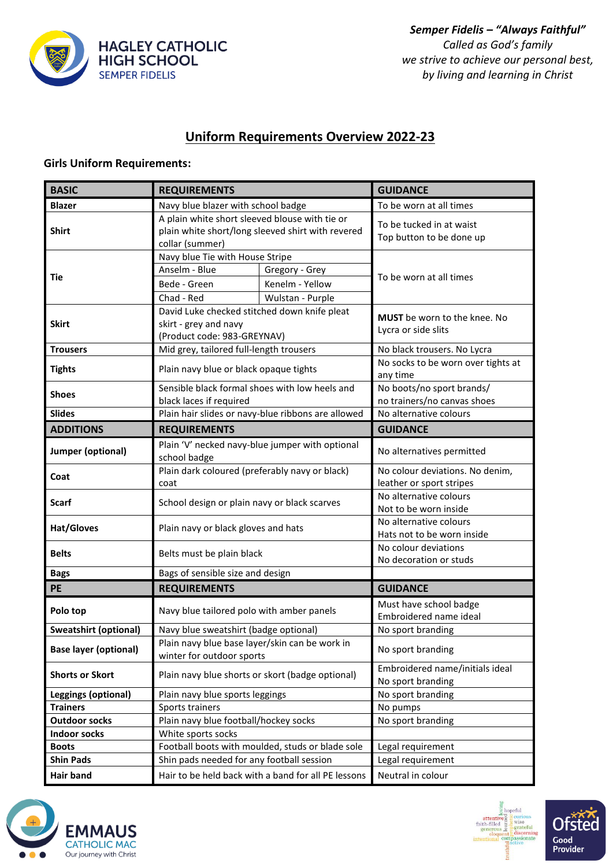

## **Uniform Requirements Overview 2022-23**

## **Girls Uniform Requirements:**

| <b>BASIC</b>                 | <b>REQUIREMENTS</b>                                                                                                    |                  | <b>GUIDANCE</b>                                      |  |
|------------------------------|------------------------------------------------------------------------------------------------------------------------|------------------|------------------------------------------------------|--|
| <b>Blazer</b>                | Navy blue blazer with school badge                                                                                     |                  | To be worn at all times                              |  |
| <b>Shirt</b>                 | A plain white short sleeved blouse with tie or<br>plain white short/long sleeved shirt with revered<br>collar (summer) |                  | To be tucked in at waist<br>Top button to be done up |  |
|                              | Navy blue Tie with House Stripe                                                                                        |                  |                                                      |  |
| Tie                          | Anselm - Blue                                                                                                          | Gregory - Grey   | To be worn at all times                              |  |
|                              | Bede - Green                                                                                                           | Kenelm - Yellow  |                                                      |  |
|                              | Chad - Red                                                                                                             | Wulstan - Purple |                                                      |  |
| <b>Skirt</b>                 | David Luke checked stitched down knife pleat<br>skirt - grey and navy<br>(Product code: 983-GREYNAV)                   |                  | MUST be worn to the knee. No<br>Lycra or side slits  |  |
| <b>Trousers</b>              | Mid grey, tailored full-length trousers                                                                                |                  | No black trousers. No Lycra                          |  |
| <b>Tights</b>                | Plain navy blue or black opaque tights                                                                                 |                  | No socks to be worn over tights at<br>any time       |  |
| <b>Shoes</b>                 | Sensible black formal shoes with low heels and                                                                         |                  | No boots/no sport brands/                            |  |
|                              | black laces if required                                                                                                |                  | no trainers/no canvas shoes                          |  |
| <b>Slides</b>                | Plain hair slides or navy-blue ribbons are allowed                                                                     |                  | No alternative colours                               |  |
| <b>ADDITIONS</b>             | <b>REQUIREMENTS</b>                                                                                                    |                  | <b>GUIDANCE</b>                                      |  |
| Jumper (optional)            | Plain 'V' necked navy-blue jumper with optional<br>school badge                                                        |                  | No alternatives permitted                            |  |
| Coat                         | Plain dark coloured (preferably navy or black)                                                                         |                  | No colour deviations. No denim,                      |  |
|                              | coat                                                                                                                   |                  | leather or sport stripes                             |  |
| <b>Scarf</b>                 | School design or plain navy or black scarves                                                                           |                  | No alternative colours                               |  |
|                              |                                                                                                                        |                  | Not to be worn inside<br>No alternative colours      |  |
| <b>Hat/Gloves</b>            | Plain navy or black gloves and hats                                                                                    |                  | Hats not to be worn inside                           |  |
| <b>Belts</b>                 | Belts must be plain black                                                                                              |                  | No colour deviations<br>No decoration or studs       |  |
| <b>Bags</b>                  | Bags of sensible size and design                                                                                       |                  |                                                      |  |
| PE                           | <b>REQUIREMENTS</b>                                                                                                    |                  | <b>GUIDANCE</b>                                      |  |
| Polo top                     | Navy blue tailored polo with amber panels                                                                              |                  | Must have school badge<br>Embroidered name ideal     |  |
| <b>Sweatshirt (optional)</b> | Navy blue sweatshirt (badge optional)                                                                                  |                  | No sport branding                                    |  |
| <b>Base layer (optional)</b> | Plain navy blue base layer/skin can be work in<br>winter for outdoor sports                                            |                  | No sport branding                                    |  |
| <b>Shorts or Skort</b>       | Plain navy blue shorts or skort (badge optional)                                                                       |                  | Embroidered name/initials ideal                      |  |
| <b>Leggings (optional)</b>   | Plain navy blue sports leggings                                                                                        |                  | No sport branding<br>No sport branding               |  |
| <b>Trainers</b>              | Sports trainers                                                                                                        |                  | No pumps                                             |  |
| <b>Outdoor socks</b>         | Plain navy blue football/hockey socks                                                                                  |                  | No sport branding                                    |  |
| <b>Indoor socks</b>          | White sports socks                                                                                                     |                  |                                                      |  |
| <b>Boots</b>                 | Football boots with moulded, studs or blade sole                                                                       |                  | Legal requirement                                    |  |
| <b>Shin Pads</b>             | Shin pads needed for any football session                                                                              |                  | Legal requirement                                    |  |
| <b>Hair band</b>             | Hair to be held back with a band for all PE lessons                                                                    |                  | Neutral in colour                                    |  |